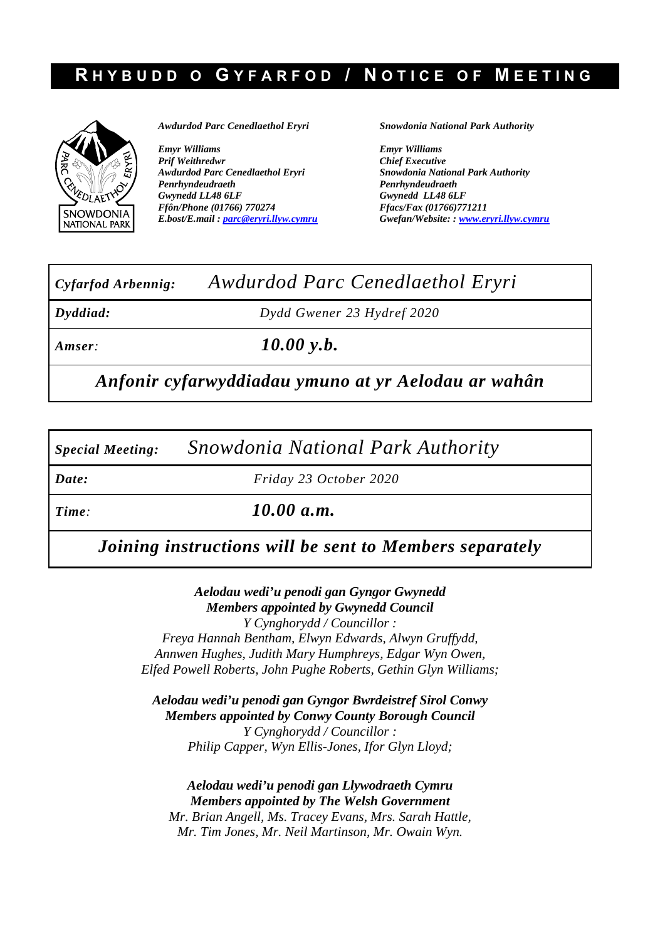## **R HYBUDD O G YFARFOD / N OTICE OF M EETING**



*Awdurdod Parc Cenedlaethol Eryri* 

*Emyr Williams Prif Weithredwr Awdurdod Parc Cenedlaethol Eryri Penrhyndeudraeth Gwynedd LL48 6LF Ffôn/Phone (01766) 770274 E.bost/E.mail : parc@eryri.llyw.cymru* *Snowdonia National Park Authority* 

*Emyr Williams Chief Executive Snowdonia National Park Authority Penrhyndeudraeth Gwynedd LL48 6LF Ffacs/Fax (01766)771211 Gwefan/Website: : www.eryri.llyw.cymru*

# *Cyfarfod Arbennig: Awdurdod Parc Cenedlaethol Eryri*

*Dyddiad: Dydd Gwener 23 Hydref 2020*

*Amser: 10.00 y.b.*

*Anfonir cyfarwyddiadau ymuno at yr Aelodau ar wahân*

*Special Meeting: Snowdonia National Park Authority* 

*Date: Friday 23 October 2020* 

*Time: 10.00 a.m.*

*Joining instructions will be sent to Members separately*

*Aelodau wedi'u penodi gan Gyngor Gwynedd Members appointed by Gwynedd Council Y Cynghorydd / Councillor : Freya Hannah Bentham, Elwyn Edwards, Alwyn Gruffydd, Annwen Hughes, Judith Mary Humphreys, Edgar Wyn Owen, Elfed Powell Roberts, John Pughe Roberts, Gethin Glyn Williams;* 

*Aelodau wedi'u penodi gan Gyngor Bwrdeistref Sirol Conwy Members appointed by Conwy County Borough Council Y Cynghorydd / Councillor : Philip Capper, Wyn Ellis-Jones, Ifor Glyn Lloyd;* 

*Aelodau wedi'u penodi gan Llywodraeth Cymru Members appointed by The Welsh Government Mr. Brian Angell, Ms. Tracey Evans, Mrs. Sarah Hattle, Mr. Tim Jones, Mr. Neil Martinson, Mr. Owain Wyn.*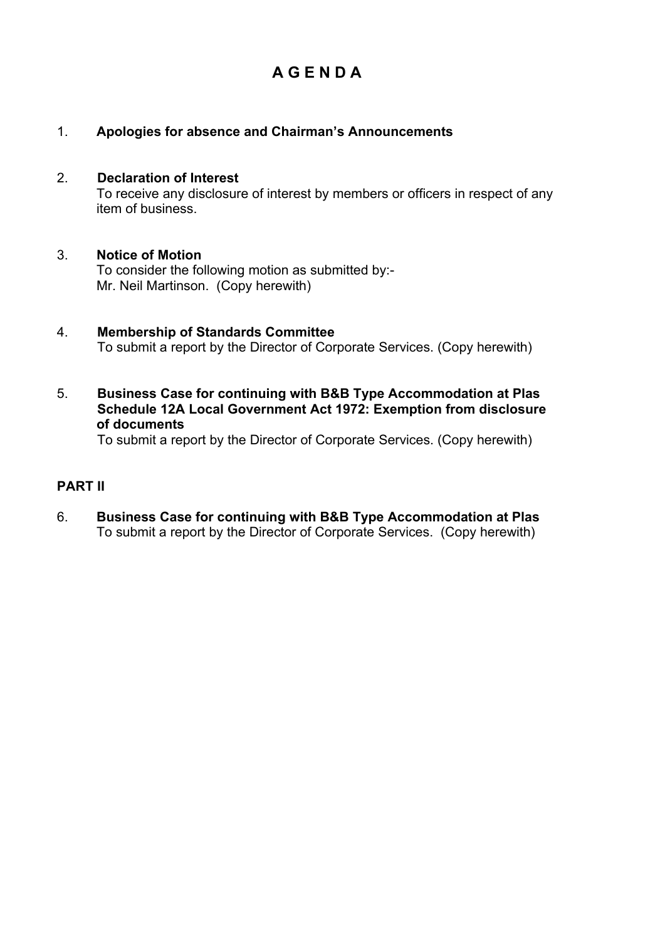## **A G E N D A**

## 1. **Apologies for absence and Chairman's Announcements**

#### 2. **Declaration of Interest**

 To receive any disclosure of interest by members or officers in respect of any item of business.

#### 3. **Notice of Motion**

To consider the following motion as submitted by:- Mr. Neil Martinson. (Copy herewith)

### 4. **Membership of Standards Committee**  To submit a report by the Director of Corporate Services. (Copy herewith)

5. **Business Case for continuing with B&B Type Accommodation at Plas Schedule 12A Local Government Act 1972: Exemption from disclosure of documents** 

To submit a report by the Director of Corporate Services. (Copy herewith)

## **PART II**

6. **Business Case for continuing with B&B Type Accommodation at Plas** To submit a report by the Director of Corporate Services. (Copy herewith)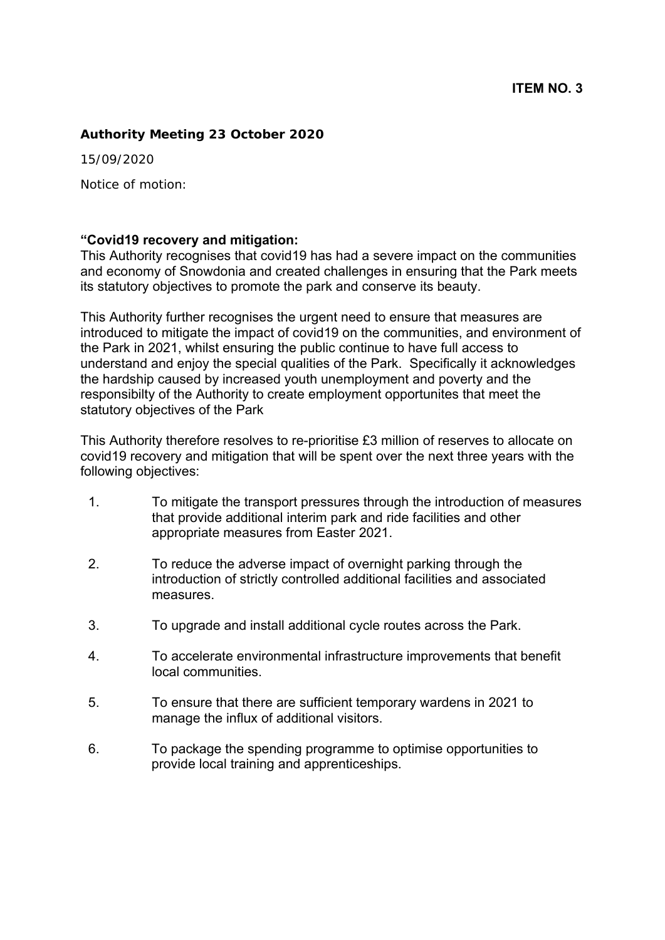#### **Authority Meeting 23 October 2020**

15/09/2020

Notice of motion:

#### **"Covid19 recovery and mitigation:**

This Authority recognises that covid19 has had a severe impact on the communities and economy of Snowdonia and created challenges in ensuring that the Park meets its statutory objectives to promote the park and conserve its beauty.

This Authority further recognises the urgent need to ensure that measures are introduced to mitigate the impact of covid19 on the communities, and environment of the Park in 2021, whilst ensuring the public continue to have full access to understand and enjoy the special qualities of the Park. Specifically it acknowledges the hardship caused by increased youth unemployment and poverty and the responsibilty of the Authority to create employment opportunites that meet the statutory objectives of the Park

This Authority therefore resolves to re-prioritise £3 million of reserves to allocate on covid19 recovery and mitigation that will be spent over the next three years with the following objectives:

- 1. To mitigate the transport pressures through the introduction of measures that provide additional interim park and ride facilities and other appropriate measures from Easter 2021.
- 2. To reduce the adverse impact of overnight parking through the introduction of strictly controlled additional facilities and associated measures.
- 3. To upgrade and install additional cycle routes across the Park.
- 4. To accelerate environmental infrastructure improvements that benefit local communities.
- 5. To ensure that there are sufficient temporary wardens in 2021 to manage the influx of additional visitors.
- 6. To package the spending programme to optimise opportunities to provide local training and apprenticeships.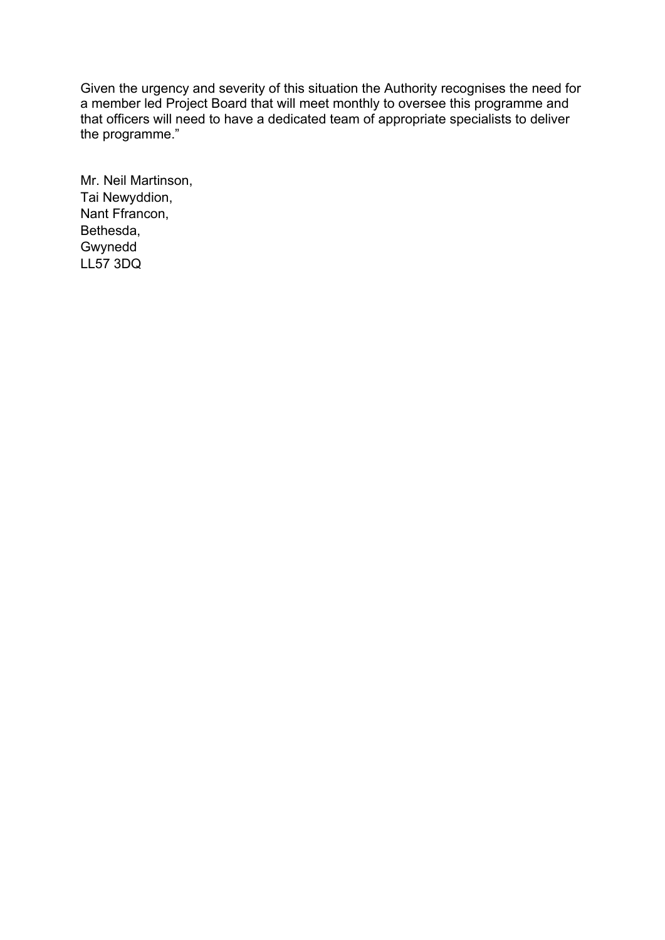Given the urgency and severity of this situation the Authority recognises the need for a member led Project Board that will meet monthly to oversee this programme and that officers will need to have a dedicated team of appropriate specialists to deliver the programme."

Mr. Neil Martinson, Tai Newyddion, Nant Ffrancon, Bethesda, Gwynedd LL57 3DQ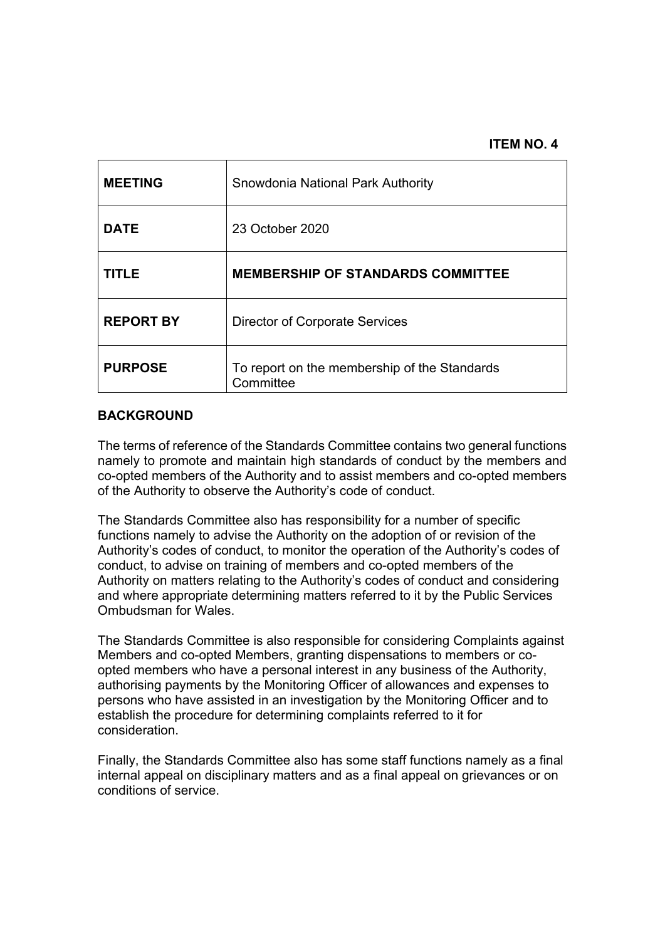#### **ITEM NO. 4**

| <b>MEETING</b>   | Snowdonia National Park Authority                         |
|------------------|-----------------------------------------------------------|
| <b>DATE</b>      | 23 October 2020                                           |
| <b>TITLE</b>     | <b>MEMBERSHIP OF STANDARDS COMMITTEE</b>                  |
| <b>REPORT BY</b> | <b>Director of Corporate Services</b>                     |
| <b>PURPOSE</b>   | To report on the membership of the Standards<br>Committee |

#### **BACKGROUND**

The terms of reference of the Standards Committee contains two general functions namely to promote and maintain high standards of conduct by the members and co-opted members of the Authority and to assist members and co-opted members of the Authority to observe the Authority's code of conduct.

The Standards Committee also has responsibility for a number of specific functions namely to advise the Authority on the adoption of or revision of the Authority's codes of conduct, to monitor the operation of the Authority's codes of conduct, to advise on training of members and co-opted members of the Authority on matters relating to the Authority's codes of conduct and considering and where appropriate determining matters referred to it by the Public Services Ombudsman for Wales.

The Standards Committee is also responsible for considering Complaints against Members and co-opted Members, granting dispensations to members or coopted members who have a personal interest in any business of the Authority, authorising payments by the Monitoring Officer of allowances and expenses to persons who have assisted in an investigation by the Monitoring Officer and to establish the procedure for determining complaints referred to it for consideration.

Finally, the Standards Committee also has some staff functions namely as a final internal appeal on disciplinary matters and as a final appeal on grievances or on conditions of service.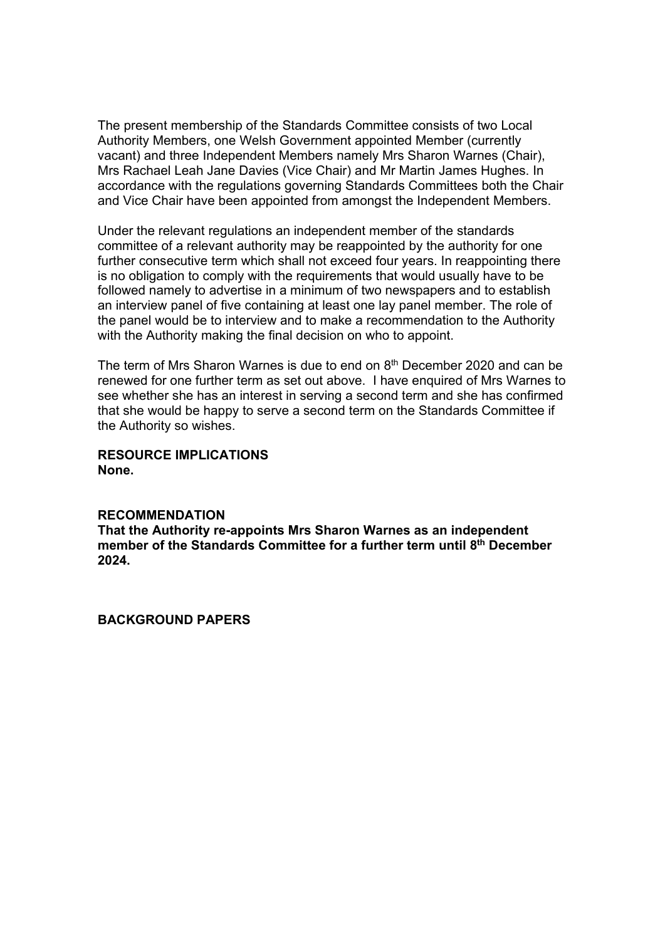The present membership of the Standards Committee consists of two Local Authority Members, one Welsh Government appointed Member (currently vacant) and three Independent Members namely Mrs Sharon Warnes (Chair), Mrs Rachael Leah Jane Davies (Vice Chair) and Mr Martin James Hughes. In accordance with the regulations governing Standards Committees both the Chair and Vice Chair have been appointed from amongst the Independent Members.

Under the relevant regulations an independent member of the standards committee of a relevant authority may be reappointed by the authority for one further consecutive term which shall not exceed four years. In reappointing there is no obligation to comply with the requirements that would usually have to be followed namely to advertise in a minimum of two newspapers and to establish an interview panel of five containing at least one lay panel member. The role of the panel would be to interview and to make a recommendation to the Authority with the Authority making the final decision on who to appoint.

The term of Mrs Sharon Warnes is due to end on 8<sup>th</sup> December 2020 and can be renewed for one further term as set out above. I have enquired of Mrs Warnes to see whether she has an interest in serving a second term and she has confirmed that she would be happy to serve a second term on the Standards Committee if the Authority so wishes.

#### **RESOURCE IMPLICATIONS None.**

#### **RECOMMENDATION**

**That the Authority re-appoints Mrs Sharon Warnes as an independent**  member of the Standards Committee for a further term until 8<sup>th</sup> December **2024.** 

**BACKGROUND PAPERS**